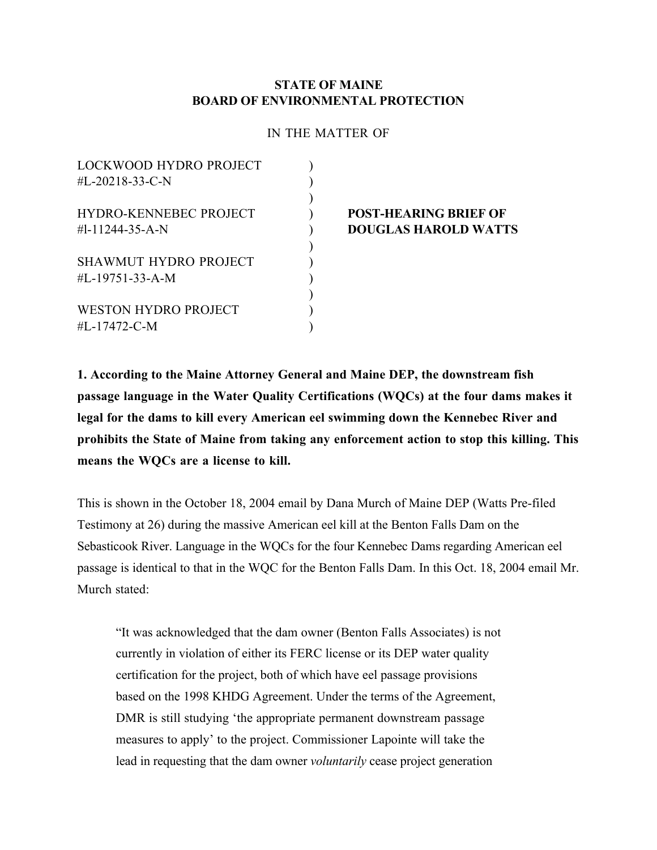#### **STATE OF MAINE BOARD OF ENVIRONMENTAL PROTECTION**

#### IN THE MATTER OF

| <b>LOCKWOOD HYDRO PROJECT</b> |  |
|-------------------------------|--|
| #L-20218-33-C-N               |  |
|                               |  |
| <b>HYDRO-KENNEBEC PROJECT</b> |  |
| #1-11244-35-A-N               |  |
|                               |  |
| SHAWMUT HYDRO PROJECT         |  |
| #L-19751-33-A-M               |  |
|                               |  |
| <b>WESTON HYDRO PROJECT</b>   |  |
| #L-17472-C-M                  |  |
|                               |  |

#### **POST-HEARING BRIEF OF** #l-11244-35-A-N ) **DOUGLAS HAROLD WATTS**

**1. According to the Maine Attorney General and Maine DEP, the downstream fish passage language in the Water Quality Certifications (WQCs) at the four dams makes it legal for the dams to kill every American eel swimming down the Kennebec River and prohibits the State of Maine from taking any enforcement action to stop this killing. This means the WQCs are a license to kill.**

This is shown in the October 18, 2004 email by Dana Murch of Maine DEP (Watts Pre-filed Testimony at 26) during the massive American eel kill at the Benton Falls Dam on the Sebasticook River. Language in the WQCs for the four Kennebec Dams regarding American eel passage is identical to that in the WQC for the Benton Falls Dam. In this Oct. 18, 2004 email Mr. Murch stated:

"It was acknowledged that the dam owner (Benton Falls Associates) is not currently in violation of either its FERC license or its DEP water quality certification for the project, both of which have eel passage provisions based on the 1998 KHDG Agreement. Under the terms of the Agreement, DMR is still studying 'the appropriate permanent downstream passage measures to apply' to the project. Commissioner Lapointe will take the lead in requesting that the dam owner *voluntarily* cease project generation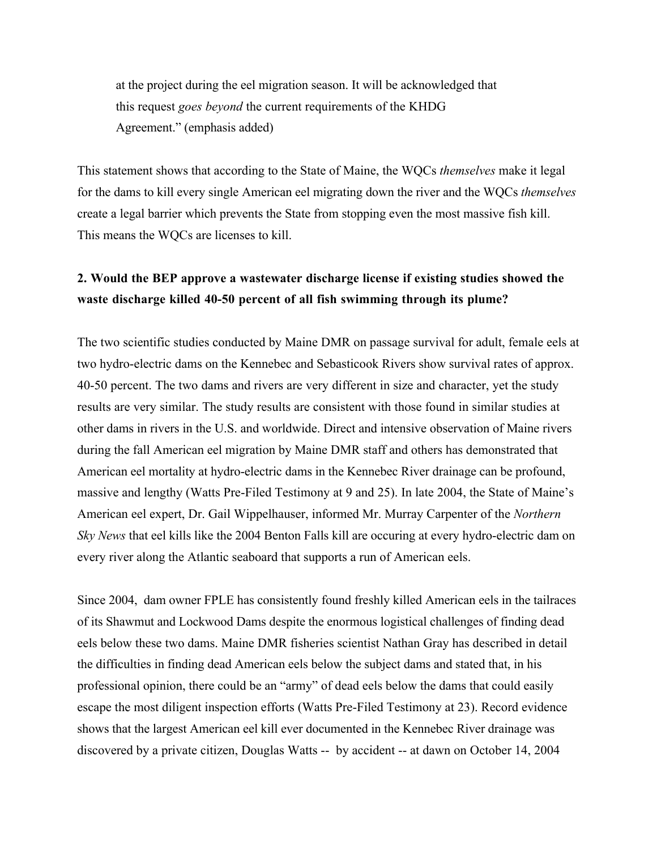at the project during the eel migration season. It will be acknowledged that this request *goes beyond* the current requirements of the KHDG Agreement." (emphasis added)

This statement shows that according to the State of Maine, the WQCs *themselves* make it legal for the dams to kill every single American eel migrating down the river and the WQCs *themselves* create a legal barrier which prevents the State from stopping even the most massive fish kill. This means the WQCs are licenses to kill.

# **2. Would the BEP approve a wastewater discharge license if existing studies showed the waste discharge killed 40-50 percent of all fish swimming through its plume?**

The two scientific studies conducted by Maine DMR on passage survival for adult, female eels at two hydro-electric dams on the Kennebec and Sebasticook Rivers show survival rates of approx. 40-50 percent. The two dams and rivers are very different in size and character, yet the study results are very similar. The study results are consistent with those found in similar studies at other dams in rivers in the U.S. and worldwide. Direct and intensive observation of Maine rivers during the fall American eel migration by Maine DMR staff and others has demonstrated that American eel mortality at hydro-electric dams in the Kennebec River drainage can be profound, massive and lengthy (Watts Pre-Filed Testimony at 9 and 25). In late 2004, the State of Maine's American eel expert, Dr. Gail Wippelhauser, informed Mr. Murray Carpenter of the *Northern Sky News* that eel kills like the 2004 Benton Falls kill are occuring at every hydro-electric dam on every river along the Atlantic seaboard that supports a run of American eels.

Since 2004, dam owner FPLE has consistently found freshly killed American eels in the tailraces of its Shawmut and Lockwood Dams despite the enormous logistical challenges of finding dead eels below these two dams. Maine DMR fisheries scientist Nathan Gray has described in detail the difficulties in finding dead American eels below the subject dams and stated that, in his professional opinion, there could be an "army" of dead eels below the dams that could easily escape the most diligent inspection efforts (Watts Pre-Filed Testimony at 23). Record evidence shows that the largest American eel kill ever documented in the Kennebec River drainage was discovered by a private citizen, Douglas Watts -- by accident -- at dawn on October 14, 2004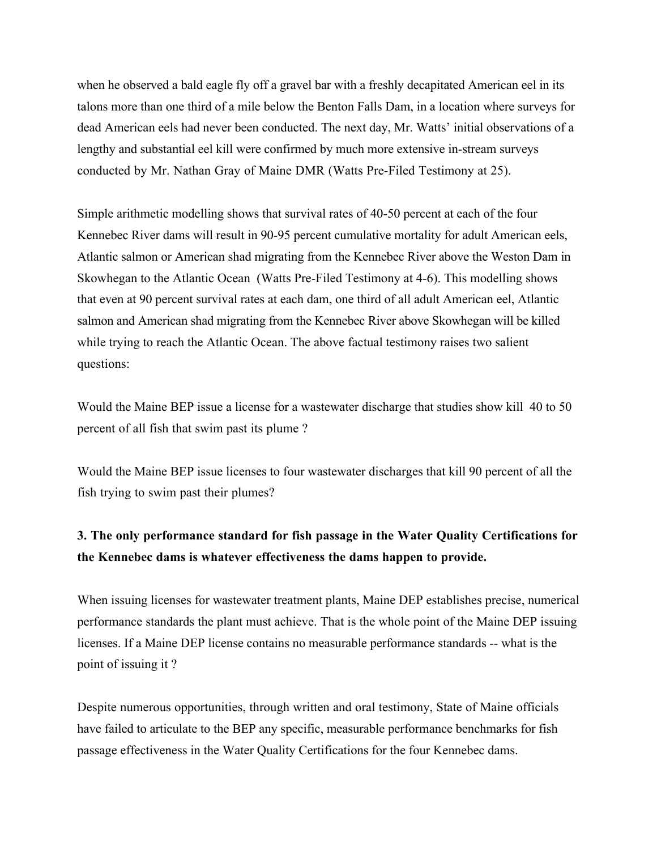when he observed a bald eagle fly off a gravel bar with a freshly decapitated American eel in its talons more than one third of a mile below the Benton Falls Dam, in a location where surveys for dead American eels had never been conducted. The next day, Mr. Watts' initial observations of a lengthy and substantial eel kill were confirmed by much more extensive in-stream surveys conducted by Mr. Nathan Gray of Maine DMR (Watts Pre-Filed Testimony at 25).

Simple arithmetic modelling shows that survival rates of 40-50 percent at each of the four Kennebec River dams will result in 90-95 percent cumulative mortality for adult American eels, Atlantic salmon or American shad migrating from the Kennebec River above the Weston Dam in Skowhegan to the Atlantic Ocean (Watts Pre-Filed Testimony at 4-6). This modelling shows that even at 90 percent survival rates at each dam, one third of all adult American eel, Atlantic salmon and American shad migrating from the Kennebec River above Skowhegan will be killed while trying to reach the Atlantic Ocean. The above factual testimony raises two salient questions:

Would the Maine BEP issue a license for a wastewater discharge that studies show kill 40 to 50 percent of all fish that swim past its plume ?

Would the Maine BEP issue licenses to four wastewater discharges that kill 90 percent of all the fish trying to swim past their plumes?

### **3. The only performance standard for fish passage in the Water Quality Certifications for the Kennebec dams is whatever effectiveness the dams happen to provide.**

When issuing licenses for wastewater treatment plants, Maine DEP establishes precise, numerical performance standards the plant must achieve. That is the whole point of the Maine DEP issuing licenses. If a Maine DEP license contains no measurable performance standards -- what is the point of issuing it ?

Despite numerous opportunities, through written and oral testimony, State of Maine officials have failed to articulate to the BEP any specific, measurable performance benchmarks for fish passage effectiveness in the Water Quality Certifications for the four Kennebec dams.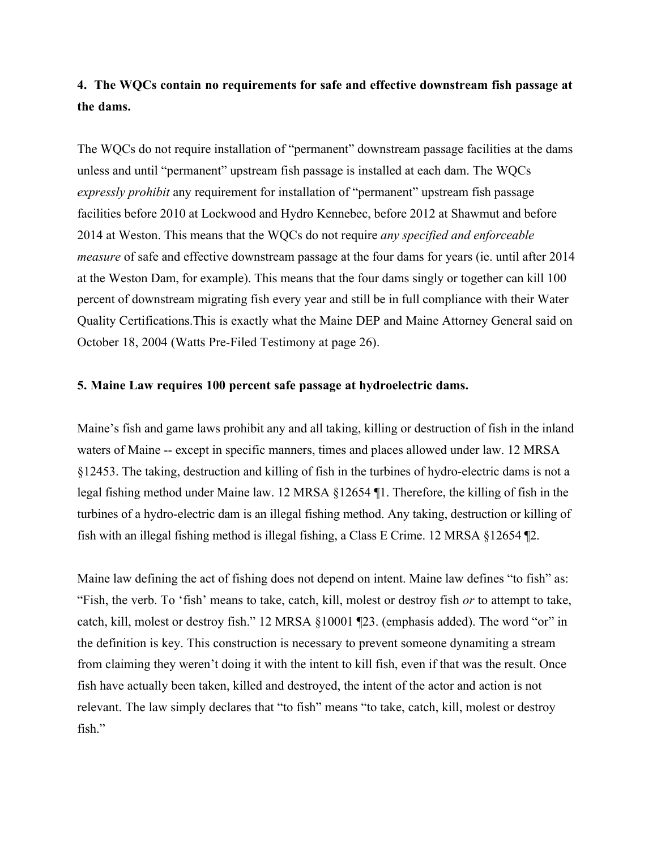# **4. The WQCs contain no requirements for safe and effective downstream fish passage at the dams.**

The WQCs do not require installation of "permanent" downstream passage facilities at the dams unless and until "permanent" upstream fish passage is installed at each dam. The WQCs *expressly prohibit* any requirement for installation of "permanent" upstream fish passage facilities before 2010 at Lockwood and Hydro Kennebec, before 2012 at Shawmut and before 2014 at Weston. This means that the WQCs do not require *any specified and enforceable measure* of safe and effective downstream passage at the four dams for years (ie. until after 2014 at the Weston Dam, for example). This means that the four dams singly or together can kill 100 percent of downstream migrating fish every year and still be in full compliance with their Water Quality Certifications.This is exactly what the Maine DEP and Maine Attorney General said on October 18, 2004 (Watts Pre-Filed Testimony at page 26).

#### **5. Maine Law requires 100 percent safe passage at hydroelectric dams.**

Maine's fish and game laws prohibit any and all taking, killing or destruction of fish in the inland waters of Maine -- except in specific manners, times and places allowed under law. 12 MRSA §12453. The taking, destruction and killing of fish in the turbines of hydro-electric dams is not a legal fishing method under Maine law. 12 MRSA §12654 ¶1. Therefore, the killing of fish in the turbines of a hydro-electric dam is an illegal fishing method. Any taking, destruction or killing of fish with an illegal fishing method is illegal fishing, a Class E Crime. 12 MRSA §12654 ¶2.

Maine law defining the act of fishing does not depend on intent. Maine law defines "to fish" as: "Fish, the verb. To 'fish' means to take, catch, kill, molest or destroy fish *or* to attempt to take, catch, kill, molest or destroy fish." 12 MRSA §10001 ¶23. (emphasis added). The word "or" in the definition is key. This construction is necessary to prevent someone dynamiting a stream from claiming they weren't doing it with the intent to kill fish, even if that was the result. Once fish have actually been taken, killed and destroyed, the intent of the actor and action is not relevant. The law simply declares that "to fish" means "to take, catch, kill, molest or destroy fish."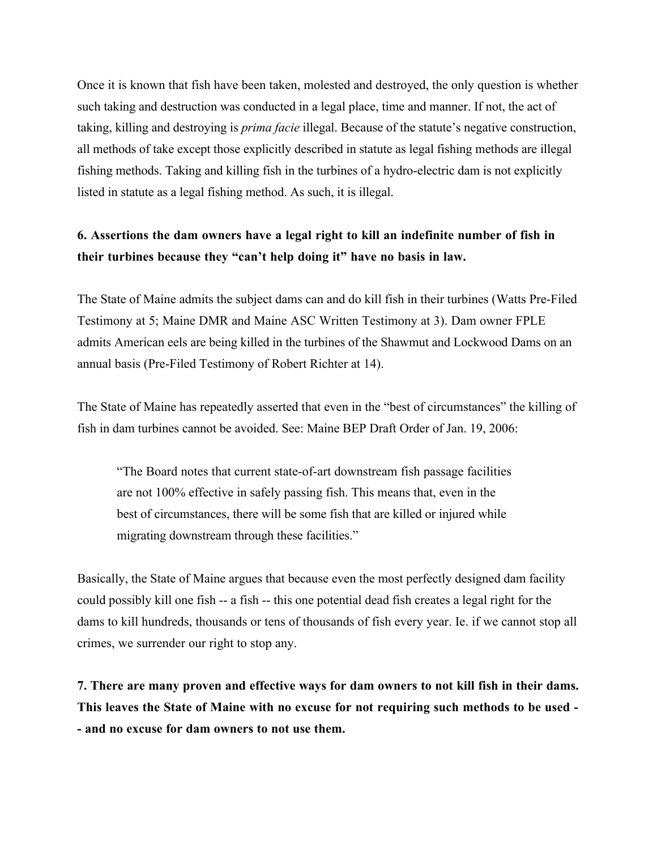Once it is known that fish have been taken, molested and destroyed, the only question is whether such taking and destruction was conducted in a legal place, time and manner. If not, the act of taking, killing and destroying is *prima facie* illegal. Because of the statute's negative construction, all methods of take except those explicitly described in statute as legal fishing methods are illegal fishing methods. Taking and killing fish in the turbines of a hydro-electric dam is not explicitly listed in statute as a legal fishing method. As such, it is illegal.

# **6. Assertions the dam owners have a legal right to kill an indefinite number of fish in their turbines because they "can't help doing it" have no basis in law.**

The State of Maine admits the subject dams can and do kill fish in their turbines (Watts Pre-Filed Testimony at 5; Maine DMR and Maine ASC Written Testimony at 3). Dam owner FPLE admits American eels are being killed in the turbines of the Shawmut and Lockwood Dams on an annual basis (Pre-Filed Testimony of Robert Richter at 14).

The State of Maine has repeatedly asserted that even in the "best of circumstances" the killing of fish in dam turbines cannot be avoided. See: Maine BEP Draft Order of Jan. 19, 2006:

"The Board notes that current state-of-art downstream fish passage facilities are not 100% effective in safely passing fish. This means that, even in the best of circumstances, there will be some fish that are killed or injured while migrating downstream through these facilities."

Basically, the State of Maine argues that because even the most perfectly designed dam facility could possibly kill one fish -- a fish -- this one potential dead fish creates a legal right for the dams to kill hundreds, thousands or tens of thousands of fish every year. Ie. if we cannot stop all crimes, we surrender our right to stop any.

**7. There are many proven and effective ways for dam owners to not kill fish in their dams. This leaves the State of Maine with no excuse for not requiring such methods to be used - - and no excuse for dam owners to not use them.**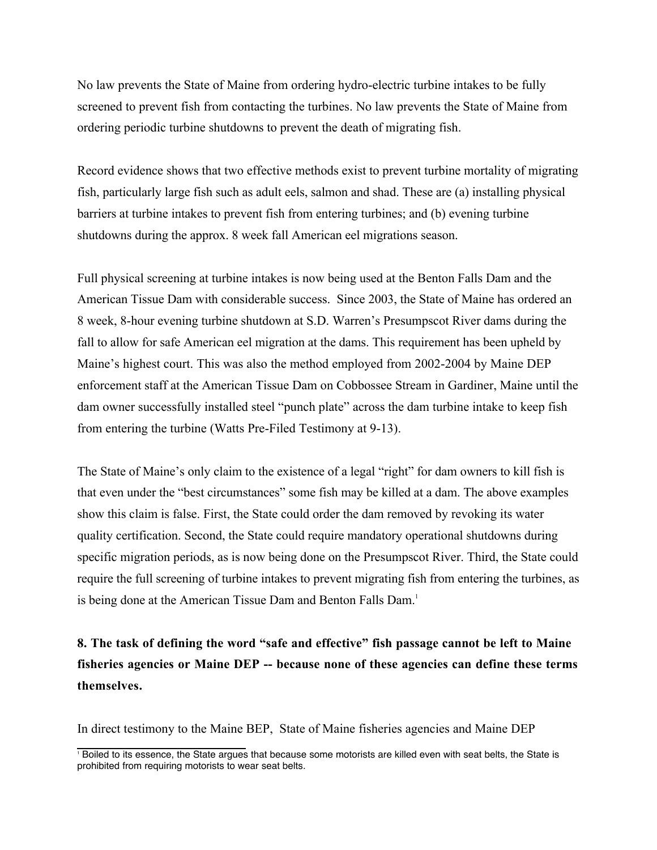No law prevents the State of Maine from ordering hydro-electric turbine intakes to be fully screened to prevent fish from contacting the turbines. No law prevents the State of Maine from ordering periodic turbine shutdowns to prevent the death of migrating fish.

Record evidence shows that two effective methods exist to prevent turbine mortality of migrating fish, particularly large fish such as adult eels, salmon and shad. These are (a) installing physical barriers at turbine intakes to prevent fish from entering turbines; and (b) evening turbine shutdowns during the approx. 8 week fall American eel migrations season.

Full physical screening at turbine intakes is now being used at the Benton Falls Dam and the American Tissue Dam with considerable success. Since 2003, the State of Maine has ordered an 8 week, 8-hour evening turbine shutdown at S.D. Warren's Presumpscot River dams during the fall to allow for safe American eel migration at the dams. This requirement has been upheld by Maine's highest court. This was also the method employed from 2002-2004 by Maine DEP enforcement staff at the American Tissue Dam on Cobbossee Stream in Gardiner, Maine until the dam owner successfully installed steel "punch plate" across the dam turbine intake to keep fish from entering the turbine (Watts Pre-Filed Testimony at 9-13).

The State of Maine's only claim to the existence of a legal "right" for dam owners to kill fish is that even under the "best circumstances" some fish may be killed at a dam. The above examples show this claim is false. First, the State could order the dam removed by revoking its water quality certification. Second, the State could require mandatory operational shutdowns during specific migration periods, as is now being done on the Presumpscot River. Third, the State could require the full screening of turbine intakes to prevent migrating fish from entering the turbines, as is being done at the American Tissue Dam and Benton Falls Dam.<sup>1</sup>

**8. The task of defining the word "safe and effective" fish passage cannot be left to Maine fisheries agencies or Maine DEP -- because none of these agencies can define these terms themselves.**

In direct testimony to the Maine BEP, State of Maine fisheries agencies and Maine DEP

 $\overline{1}$  Boiled to its essence, the State argues that because some motorists are killed even with seat belts, the State is prohibited from requiring motorists to wear seat belts.